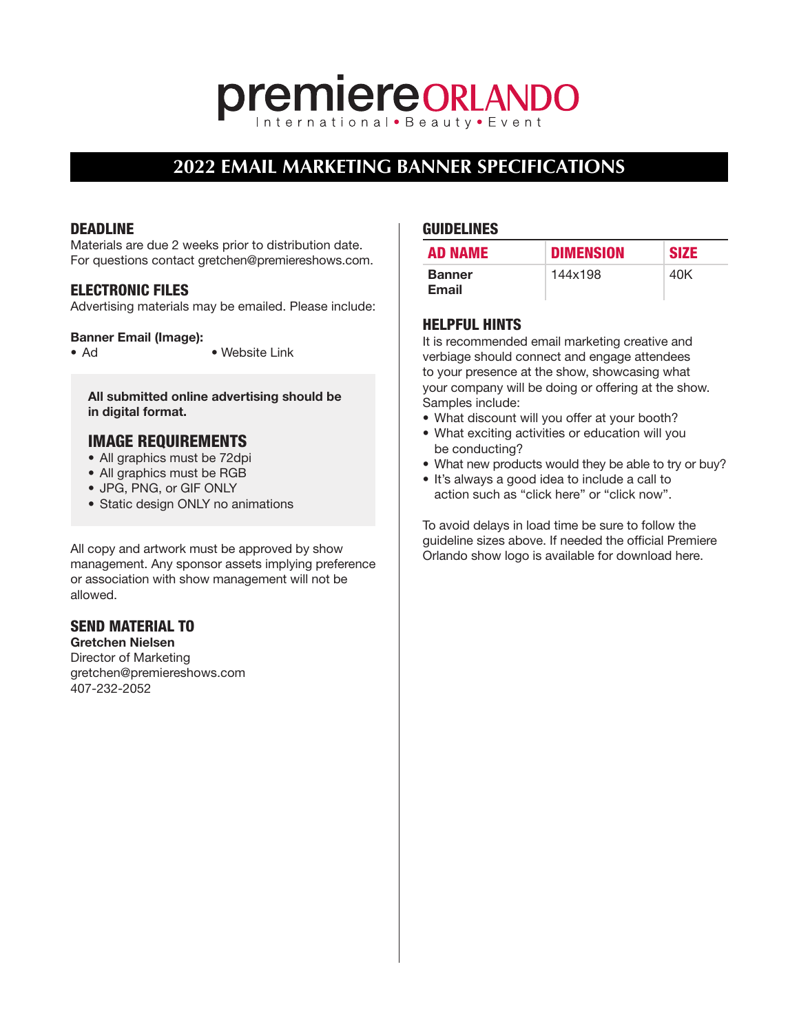# **premiereORLANDO**

## **2022 EMAIL MARKETING BANNER SPECIFICATIONS**

#### DEADLINE

Materials are due 2 weeks prior to distribution date. For questions contact gretchen@premiereshows.com.

#### ELECTRONIC FILES

Advertising materials may be emailed. Please include:

#### Banner Email (Image):

• Ad • Website Link

All submitted online advertising should be in digital format.

#### IMAGE REQUIREMENTS

- All graphics must be 72dpi
- All graphics must be RGB
- JPG, PNG, or GIF ONLY
- Static design ONLY no animations

All copy and artwork must be approved by show management. Any sponsor assets implying preference or association with show management will not be allowed.

### SEND MATERIAL TO

Gretchen Nielsen Director of Marketing gretchen@premiereshows.com 407-232-2052

#### GUIDELINES

| <b>AD NAME</b>         | <b>DIMENSION</b> | <b>SIZE</b> |
|------------------------|------------------|-------------|
| <b>Banner</b><br>Email | 144x198          | 40K         |

#### HELPFUL HINTS

It is recommended email marketing creative and verbiage should connect and engage attendees to your presence at the show, showcasing what your company will be doing or offering at the show. Samples include:

- What discount will you offer at your booth?
- What exciting activities or education will you be conducting?
- What new products would they be able to try or buy?
- It's always a good idea to include a call to action such as "click here" or "click now".

To avoid delays in load time be sure to follow the guideline sizes above. If needed the official Premiere Orlando show logo is available for download [here.](http://www.premiereorlandoshow.biz/shows/orl/show-logo.asp)